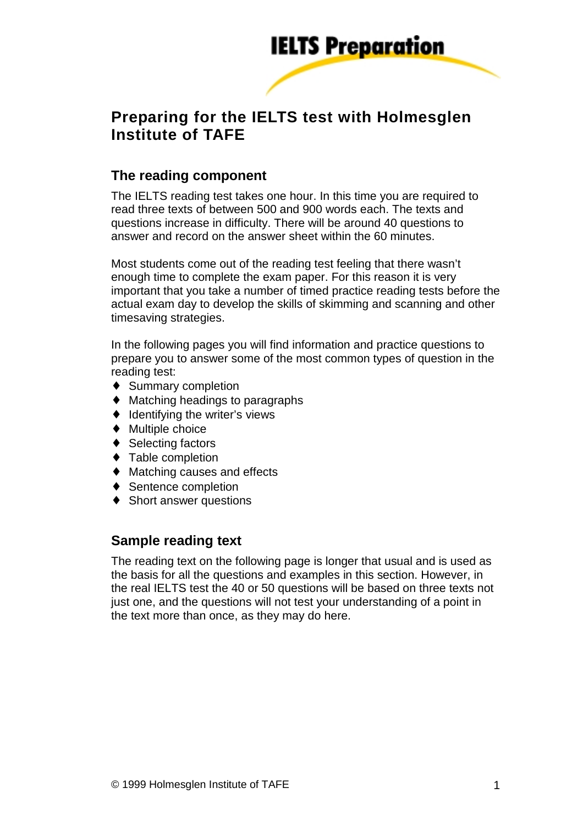

# **Preparing for the IELTS test with Holmesglen Institute of TAFE**

## **The reading component**

The IELTS reading test takes one hour. In this time you are required to read three texts of between 500 and 900 words each. The texts and questions increase in difficulty. There will be around 40 questions to answer and record on the answer sheet within the 60 minutes.

Most students come out of the reading test feeling that there wasn't enough time to complete the exam paper. For this reason it is very important that you take a number of timed practice reading tests before the actual exam day to develop the skills of skimming and scanning and other timesaving strategies.

In the following pages you will find information and practice questions to prepare you to answer some of the most common types of question in the reading test:

- ♦ Summary completion
- $\triangleleft$  Matching headings to paragraphs
- ♦ Identifying the writer's views
- ♦ Multiple choice
- ◆ Selecting factors
- ♦ Table completion
- ♦ Matching causes and effects
- ♦ Sentence completion
- ◆ Short answer questions

### **Sample reading text**

The reading text on the following page is longer that usual and is used as the basis for all the questions and examples in this section. However, in the real IELTS test the 40 or 50 questions will be based on three texts not just one, and the questions will not test your understanding of a point in the text more than once, as they may do here.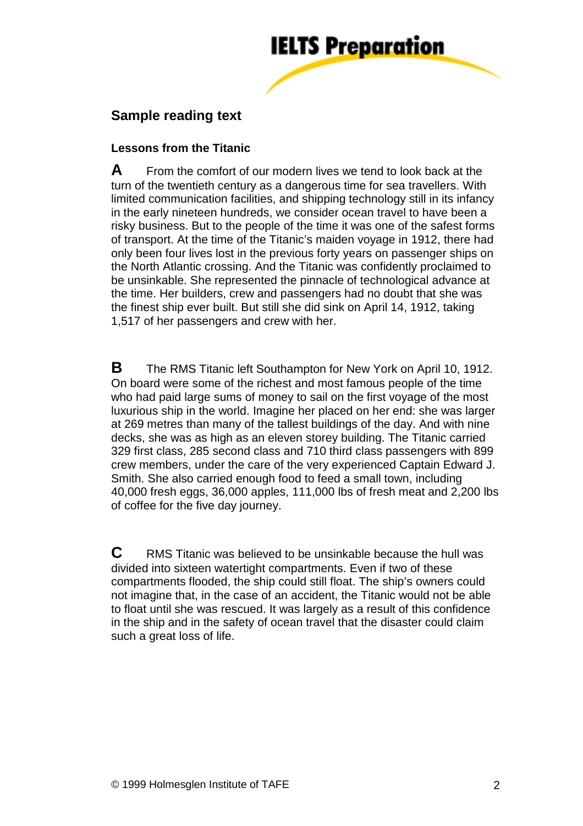

# **Sample reading text**

#### **Lessons from the Titanic**

**A** From the comfort of our modern lives we tend to look back at the turn of the twentieth century as a dangerous time for sea travellers. With limited communication facilities, and shipping technology still in its infancy in the early nineteen hundreds, we consider ocean travel to have been a risky business. But to the people of the time it was one of the safest forms of transport. At the time of the Titanic's maiden voyage in 1912, there had only been four lives lost in the previous forty years on passenger ships on the North Atlantic crossing. And the Titanic was confidently proclaimed to be unsinkable. She represented the pinnacle of technological advance at the time. Her builders, crew and passengers had no doubt that she was the finest ship ever built. But still she did sink on April 14, 1912, taking 1,517 of her passengers and crew with her.

**B** The RMS Titanic left Southampton for New York on April 10, 1912. On board were some of the richest and most famous people of the time who had paid large sums of money to sail on the first voyage of the most luxurious ship in the world. Imagine her placed on her end: she was larger at 269 metres than many of the tallest buildings of the day. And with nine decks, she was as high as an eleven storey building. The Titanic carried 329 first class, 285 second class and 710 third class passengers with 899 crew members, under the care of the very experienced Captain Edward J. Smith. She also carried enough food to feed a small town, including 40,000 fresh eggs, 36,000 apples, 111,000 lbs of fresh meat and 2,200 lbs of coffee for the five day journey.

**C** RMS Titanic was believed to be unsinkable because the hull was divided into sixteen watertight compartments. Even if two of these compartments flooded, the ship could still float. The ship's owners could not imagine that, in the case of an accident, the Titanic would not be able to float until she was rescued. It was largely as a result of this confidence in the ship and in the safety of ocean travel that the disaster could claim such a great loss of life.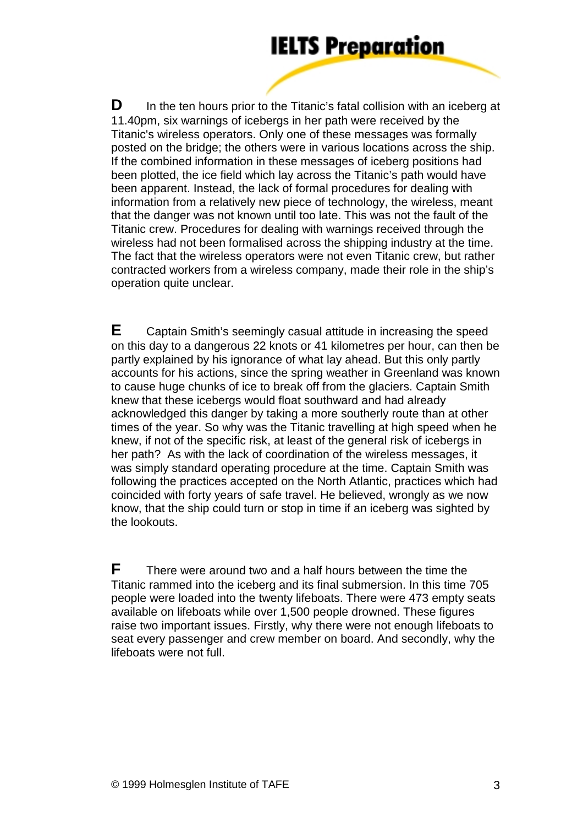**D** In the ten hours prior to the Titanic's fatal collision with an iceberg at 11.40pm, six warnings of icebergs in her path were received by the Titanic's wireless operators. Only one of these messages was formally posted on the bridge; the others were in various locations across the ship. If the combined information in these messages of iceberg positions had been plotted, the ice field which lay across the Titanic's path would have been apparent. Instead, the lack of formal procedures for dealing with information from a relatively new piece of technology, the wireless, meant that the danger was not known until too late. This was not the fault of the Titanic crew. Procedures for dealing with warnings received through the wireless had not been formalised across the shipping industry at the time. The fact that the wireless operators were not even Titanic crew, but rather contracted workers from a wireless company, made their role in the ship's operation quite unclear.

**E** Captain Smith's seemingly casual attitude in increasing the speed on this day to a dangerous 22 knots or 41 kilometres per hour, can then be partly explained by his ignorance of what lay ahead. But this only partly accounts for his actions, since the spring weather in Greenland was known to cause huge chunks of ice to break off from the glaciers. Captain Smith knew that these icebergs would float southward and had already acknowledged this danger by taking a more southerly route than at other times of the year. So why was the Titanic travelling at high speed when he knew, if not of the specific risk, at least of the general risk of icebergs in her path? As with the lack of coordination of the wireless messages, it was simply standard operating procedure at the time. Captain Smith was following the practices accepted on the North Atlantic, practices which had coincided with forty years of safe travel. He believed, wrongly as we now know, that the ship could turn or stop in time if an iceberg was sighted by the lookouts.

**F** There were around two and a half hours between the time the Titanic rammed into the iceberg and its final submersion. In this time 705 people were loaded into the twenty lifeboats. There were 473 empty seats available on lifeboats while over 1,500 people drowned. These figures raise two important issues. Firstly, why there were not enough lifeboats to seat every passenger and crew member on board. And secondly, why the lifeboats were not full.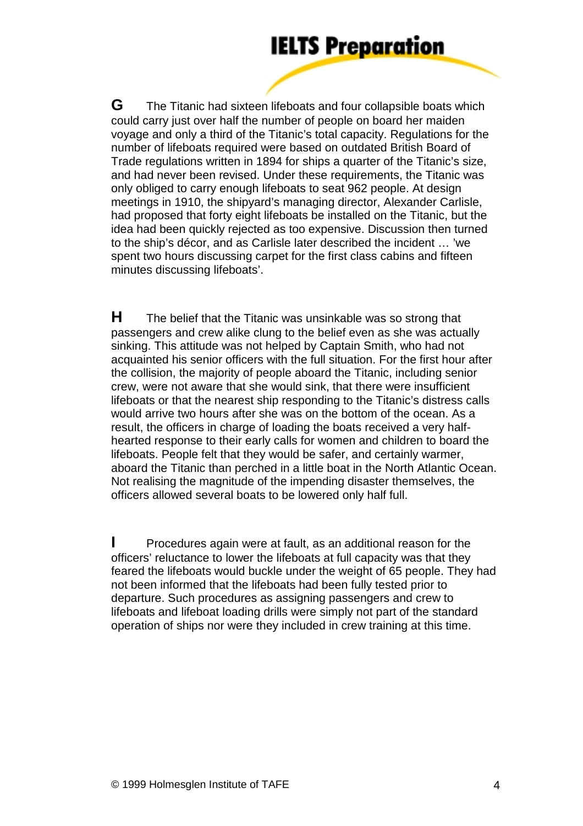**G** The Titanic had sixteen lifeboats and four collapsible boats which could carry just over half the number of people on board her maiden voyage and only a third of the Titanic's total capacity. Regulations for the number of lifeboats required were based on outdated British Board of Trade regulations written in 1894 for ships a quarter of the Titanic's size, and had never been revised. Under these requirements, the Titanic was only obliged to carry enough lifeboats to seat 962 people. At design meetings in 1910, the shipyard's managing director, Alexander Carlisle, had proposed that forty eight lifeboats be installed on the Titanic, but the idea had been quickly rejected as too expensive. Discussion then turned to the ship's décor, and as Carlisle later described the incident … 'we spent two hours discussing carpet for the first class cabins and fifteen minutes discussing lifeboats'.

**H** The belief that the Titanic was unsinkable was so strong that passengers and crew alike clung to the belief even as she was actually sinking. This attitude was not helped by Captain Smith, who had not acquainted his senior officers with the full situation. For the first hour after the collision, the majority of people aboard the Titanic, including senior crew, were not aware that she would sink, that there were insufficient lifeboats or that the nearest ship responding to the Titanic's distress calls would arrive two hours after she was on the bottom of the ocean. As a result, the officers in charge of loading the boats received a very halfhearted response to their early calls for women and children to board the lifeboats. People felt that they would be safer, and certainly warmer, aboard the Titanic than perched in a little boat in the North Atlantic Ocean. Not realising the magnitude of the impending disaster themselves, the officers allowed several boats to be lowered only half full.

**I** Procedures again were at fault, as an additional reason for the officers' reluctance to lower the lifeboats at full capacity was that they feared the lifeboats would buckle under the weight of 65 people. They had not been informed that the lifeboats had been fully tested prior to departure. Such procedures as assigning passengers and crew to lifeboats and lifeboat loading drills were simply not part of the standard operation of ships nor were they included in crew training at this time.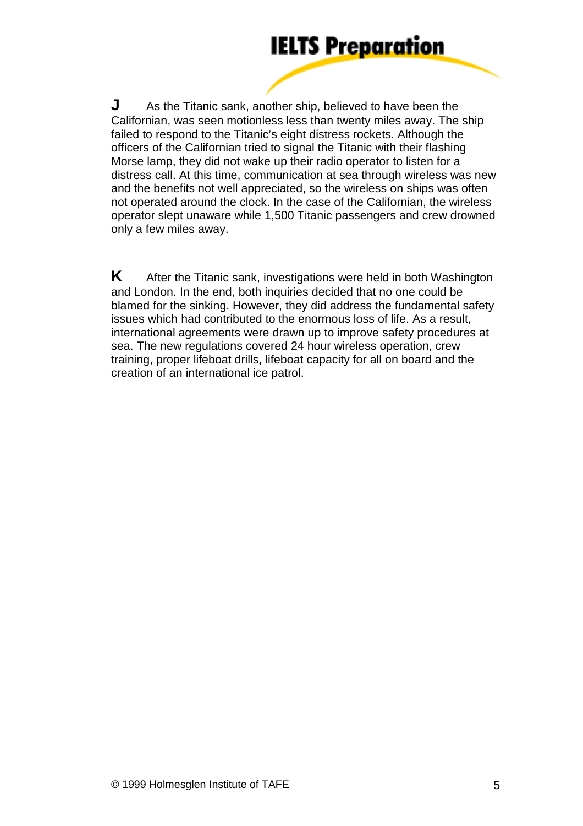**J** As the Titanic sank, another ship, believed to have been the Californian, was seen motionless less than twenty miles away. The ship failed to respond to the Titanic's eight distress rockets. Although the officers of the Californian tried to signal the Titanic with their flashing Morse lamp, they did not wake up their radio operator to listen for a distress call. At this time, communication at sea through wireless was new and the benefits not well appreciated, so the wireless on ships was often not operated around the clock. In the case of the Californian, the wireless operator slept unaware while 1,500 Titanic passengers and crew drowned only a few miles away.

**K** After the Titanic sank, investigations were held in both Washington and London. In the end, both inquiries decided that no one could be blamed for the sinking. However, they did address the fundamental safety issues which had contributed to the enormous loss of life. As a result, international agreements were drawn up to improve safety procedures at sea. The new regulations covered 24 hour wireless operation, crew training, proper lifeboat drills, lifeboat capacity for all on board and the creation of an international ice patrol.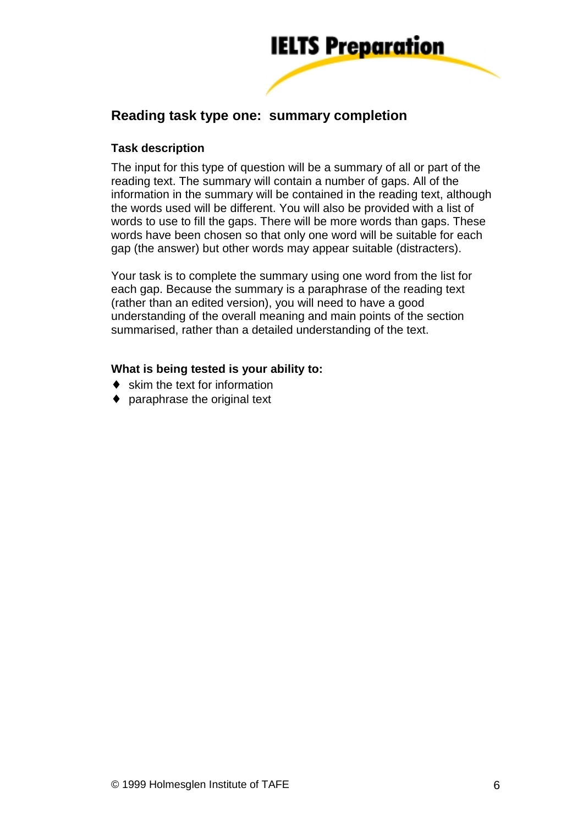

# **Reading task type one: summary completion**

#### **Task description**

The input for this type of question will be a summary of all or part of the reading text. The summary will contain a number of gaps. All of the information in the summary will be contained in the reading text, although the words used will be different. You will also be provided with a list of words to use to fill the gaps. There will be more words than gaps. These words have been chosen so that only one word will be suitable for each gap (the answer) but other words may appear suitable (distracters).

Your task is to complete the summary using one word from the list for each gap. Because the summary is a paraphrase of the reading text (rather than an edited version), you will need to have a good understanding of the overall meaning and main points of the section summarised, rather than a detailed understanding of the text.

#### **What is being tested is your ability to:**

- ♦ skim the text for information
- ♦ paraphrase the original text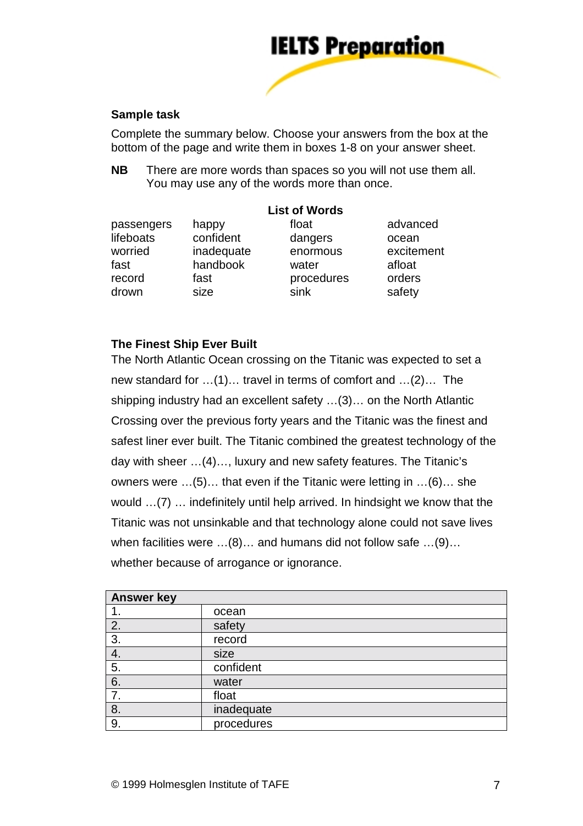

#### **Sample task**

Complete the summary below. Choose your answers from the box at the bottom of the page and write them in boxes 1-8 on your answer sheet.

**NB** There are more words than spaces so you will not use them all. You may use any of the words more than once.

| passengers | happy      | float      | advanced   |
|------------|------------|------------|------------|
| lifeboats  | confident  | dangers    | ocean      |
| worried    | inadequate | enormous   | excitement |
| fast       | handbook   | water      | afloat     |
| record     | fast       | procedures | orders     |
| drown      | size       | sink       | safety     |

#### **The Finest Ship Ever Built**

The North Atlantic Ocean crossing on the Titanic was expected to set a new standard for …(1)… travel in terms of comfort and …(2)… The shipping industry had an excellent safety …(3)… on the North Atlantic Crossing over the previous forty years and the Titanic was the finest and safest liner ever built. The Titanic combined the greatest technology of the day with sheer …(4)…, luxury and new safety features. The Titanic's owners were …(5)… that even if the Titanic were letting in …(6)… she would …(7) … indefinitely until help arrived. In hindsight we know that the Titanic was not unsinkable and that technology alone could not save lives when facilities were …(8)… and humans did not follow safe …(9)… whether because of arrogance or ignorance.

| <b>Answer key</b> |            |  |
|-------------------|------------|--|
|                   | ocean      |  |
| 2.                | safety     |  |
| 3.                | record     |  |
| 4.                | size       |  |
| 5.                | confident  |  |
| 6.                | water      |  |
| $\overline{7}$ .  | float      |  |
| 8.                | inadequate |  |
| 9.                | procedures |  |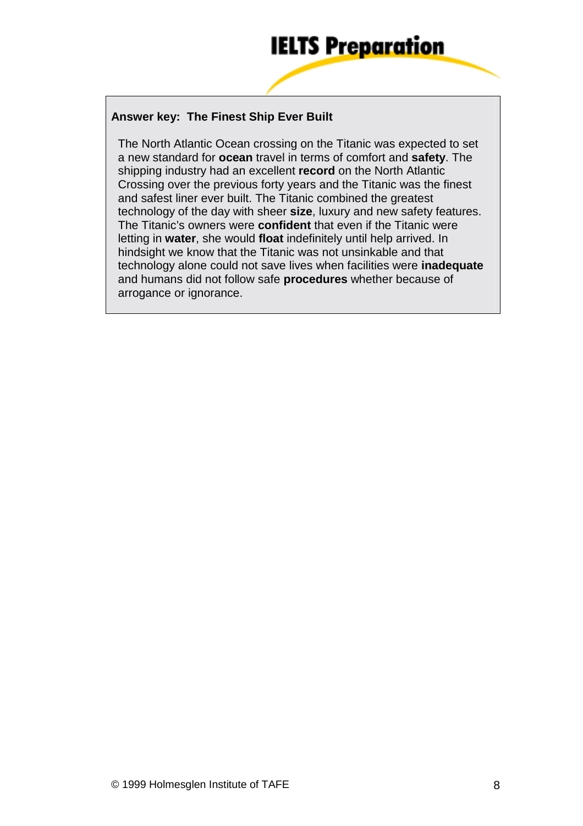#### **Answer key: The Finest Ship Ever Built**

The North Atlantic Ocean crossing on the Titanic was expected to set a new standard for **ocean** travel in terms of comfort and **safety**. The shipping industry had an excellent **record** on the North Atlantic Crossing over the previous forty years and the Titanic was the finest and safest liner ever built. The Titanic combined the greatest technology of the day with sheer **size**, luxury and new safety features. The Titanic's owners were **confident** that even if the Titanic were letting in **water**, she would **float** indefinitely until help arrived. In hindsight we know that the Titanic was not unsinkable and that technology alone could not save lives when facilities were **inadequate** and humans did not follow safe **procedures** whether because of arrogance or ignorance.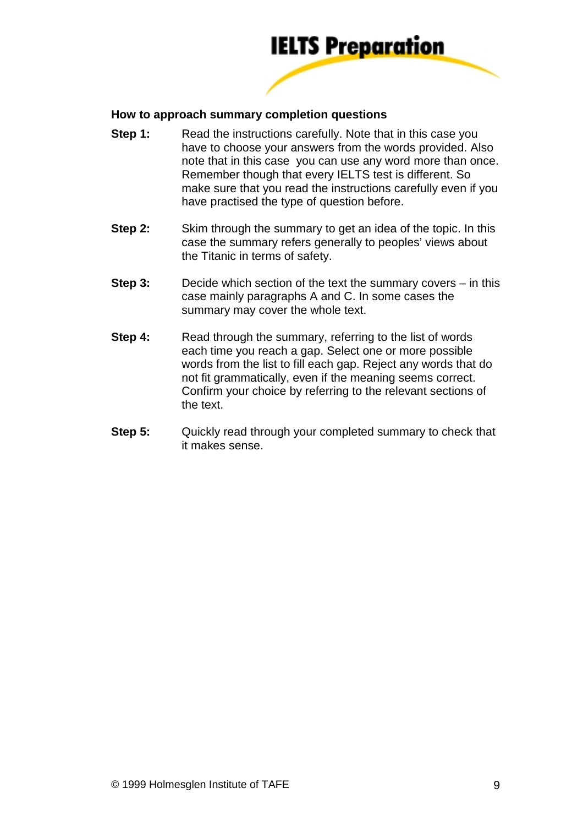

#### **How to approach summary completion questions**

- **Step 1:** Read the instructions carefully. Note that in this case you have to choose your answers from the words provided. Also note that in this case you can use any word more than once. Remember though that every IELTS test is different. So make sure that you read the instructions carefully even if you have practised the type of question before.
- **Step 2:** Skim through the summary to get an idea of the topic. In this case the summary refers generally to peoples' views about the Titanic in terms of safety.
- **Step 3:** Decide which section of the text the summary covers in this case mainly paragraphs A and C. In some cases the summary may cover the whole text.
- **Step 4:** Read through the summary, referring to the list of words each time you reach a gap. Select one or more possible words from the list to fill each gap. Reject any words that do not fit grammatically, even if the meaning seems correct. Confirm your choice by referring to the relevant sections of the text.
- **Step 5:** Quickly read through your completed summary to check that it makes sense.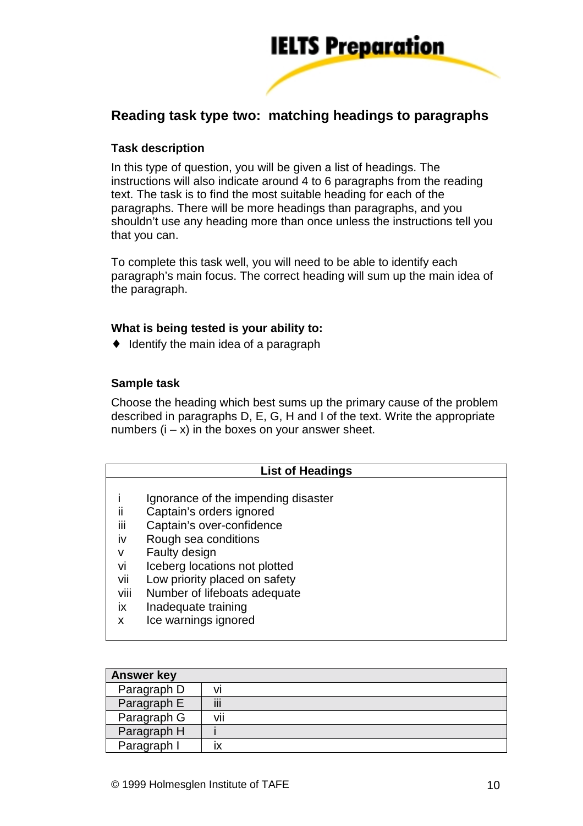

# **Reading task type two: matching headings to paragraphs**

#### **Task description**

In this type of question, you will be given a list of headings. The instructions will also indicate around 4 to 6 paragraphs from the reading text. The task is to find the most suitable heading for each of the paragraphs. There will be more headings than paragraphs, and you shouldn't use any heading more than once unless the instructions tell you that you can.

To complete this task well, you will need to be able to identify each paragraph's main focus. The correct heading will sum up the main idea of the paragraph.

#### **What is being tested is your ability to:**

♦ Identify the main idea of a paragraph

#### **Sample task**

Choose the heading which best sums up the primary cause of the problem described in paragraphs D, E, G, H and I of the text. Write the appropriate numbers  $(i - x)$  in the boxes on your answer sheet.

| <b>List of Headings</b> |                                     |  |  |
|-------------------------|-------------------------------------|--|--|
|                         | Ignorance of the impending disaster |  |  |
| ii                      | Captain's orders ignored            |  |  |
| iii                     | Captain's over-confidence           |  |  |
| iv                      | Rough sea conditions                |  |  |
| v                       | Faulty design                       |  |  |
| vi                      | Iceberg locations not plotted       |  |  |
| vii                     | Low priority placed on safety       |  |  |
| viii                    | Number of lifeboats adequate        |  |  |
| ix                      | Inadequate training                 |  |  |
| x                       | Ice warnings ignored                |  |  |

| <b>Answer key</b> |        |
|-------------------|--------|
| Paragraph D       |        |
| Paragraph E       | <br>Ш  |
| Paragraph G       | <br>۷ı |
| Paragraph H       |        |
| Paragraph I       |        |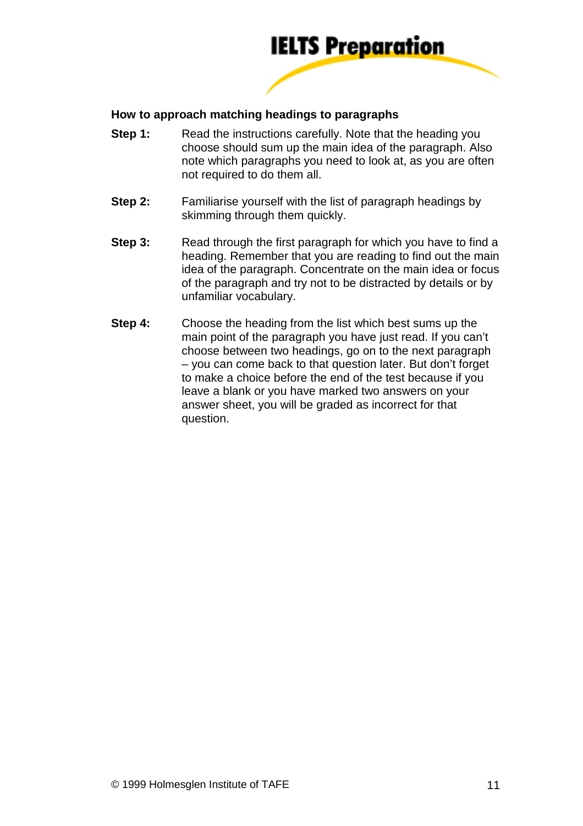

#### **How to approach matching headings to paragraphs**

- **Step 1:** Read the instructions carefully. Note that the heading you choose should sum up the main idea of the paragraph. Also note which paragraphs you need to look at, as you are often not required to do them all.
- **Step 2:** Familiarise yourself with the list of paragraph headings by skimming through them quickly.
- **Step 3:** Read through the first paragraph for which you have to find a heading. Remember that you are reading to find out the main idea of the paragraph. Concentrate on the main idea or focus of the paragraph and try not to be distracted by details or by unfamiliar vocabulary.
- **Step 4:** Choose the heading from the list which best sums up the main point of the paragraph you have just read. If you can't choose between two headings, go on to the next paragraph – you can come back to that question later. But don't forget to make a choice before the end of the test because if you leave a blank or you have marked two answers on your answer sheet, you will be graded as incorrect for that question.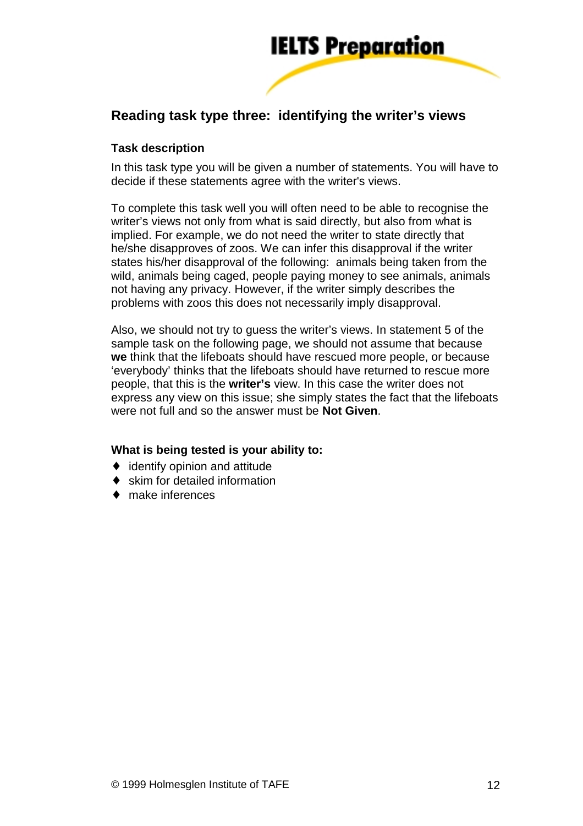

# **Reading task type three: identifying the writer's views**

#### **Task description**

In this task type you will be given a number of statements. You will have to decide if these statements agree with the writer's views.

To complete this task well you will often need to be able to recognise the writer's views not only from what is said directly, but also from what is implied. For example, we do not need the writer to state directly that he/she disapproves of zoos. We can infer this disapproval if the writer states his/her disapproval of the following: animals being taken from the wild, animals being caged, people paying money to see animals, animals not having any privacy. However, if the writer simply describes the problems with zoos this does not necessarily imply disapproval.

Also, we should not try to guess the writer's views. In statement 5 of the sample task on the following page, we should not assume that because **we** think that the lifeboats should have rescued more people, or because 'everybody' thinks that the lifeboats should have returned to rescue more people, that this is the **writer's** view. In this case the writer does not express any view on this issue; she simply states the fact that the lifeboats were not full and so the answer must be **Not Given**.

#### **What is being tested is your ability to:**

- ♦ identify opinion and attitude
- ♦ skim for detailed information
- ♦ make inferences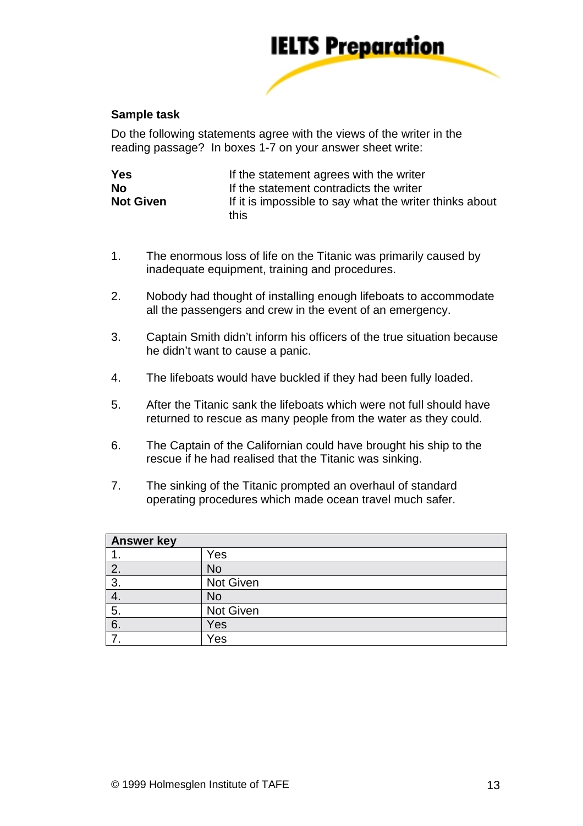

#### **Sample task**

Do the following statements agree with the views of the writer in the reading passage? In boxes 1-7 on your answer sheet write:

| <b>Yes</b>       | If the statement agrees with the writer                         |  |  |
|------------------|-----------------------------------------------------------------|--|--|
| <b>No</b>        | If the statement contradicts the writer                         |  |  |
| <b>Not Given</b> | If it is impossible to say what the writer thinks about<br>this |  |  |

- 1. The enormous loss of life on the Titanic was primarily caused by inadequate equipment, training and procedures.
- 2. Nobody had thought of installing enough lifeboats to accommodate all the passengers and crew in the event of an emergency.
- 3. Captain Smith didn't inform his officers of the true situation because he didn't want to cause a panic.
- 4. The lifeboats would have buckled if they had been fully loaded.
- 5. After the Titanic sank the lifeboats which were not full should have returned to rescue as many people from the water as they could.
- 6. The Captain of the Californian could have brought his ship to the rescue if he had realised that the Titanic was sinking.
- 7. The sinking of the Titanic prompted an overhaul of standard operating procedures which made ocean travel much safer.

| <b>Answer key</b> |                  |  |
|-------------------|------------------|--|
| . .               | Yes              |  |
| 2.                | <b>No</b>        |  |
| 3.                | <b>Not Given</b> |  |
| 4.                | <b>No</b>        |  |
| 5.                | Not Given        |  |
| 6.                | Yes              |  |
|                   | Yes              |  |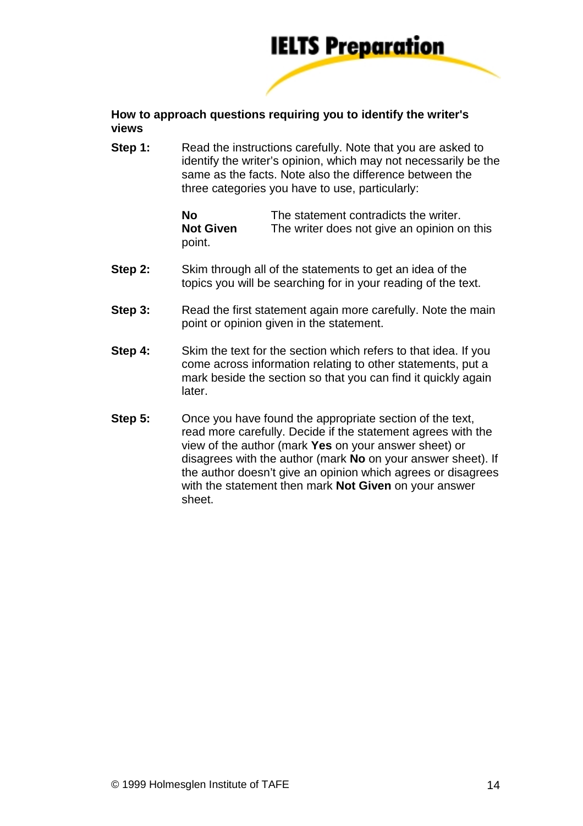

#### **How to approach questions requiring you to identify the writer's views**

**Step 1:** Read the instructions carefully. Note that you are asked to identify the writer's opinion, which may not necessarily be the same as the facts. Note also the difference between the three categories you have to use, particularly:

| No               | The statement contradicts the writer.       |
|------------------|---------------------------------------------|
| <b>Not Given</b> | The writer does not give an opinion on this |
| point.           |                                             |

- **Step 2:** Skim through all of the statements to get an idea of the topics you will be searching for in your reading of the text.
- **Step 3:** Read the first statement again more carefully. Note the main point or opinion given in the statement.
- **Step 4:** Skim the text for the section which refers to that idea. If you come across information relating to other statements, put a mark beside the section so that you can find it quickly again later.
- **Step 5:** Once you have found the appropriate section of the text, read more carefully. Decide if the statement agrees with the view of the author (mark **Yes** on your answer sheet) or disagrees with the author (mark **No** on your answer sheet). If the author doesn't give an opinion which agrees or disagrees with the statement then mark **Not Given** on your answer sheet.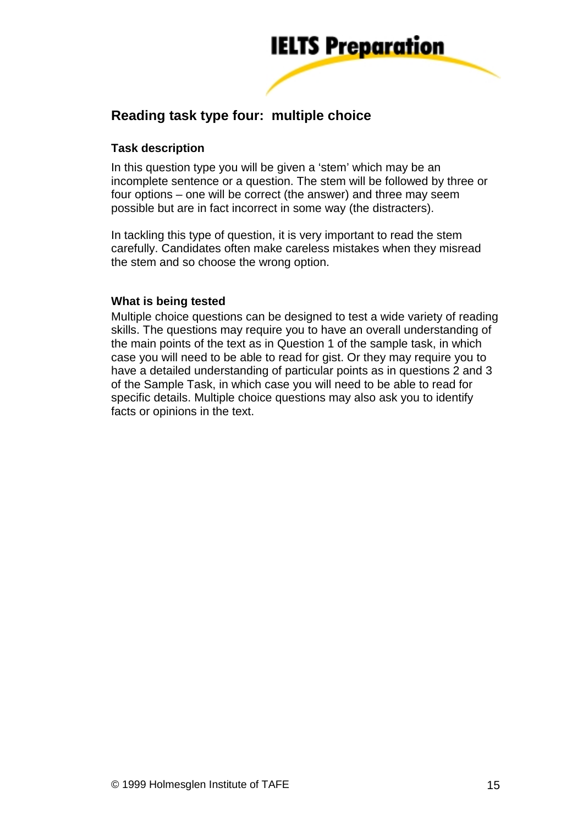

# **Reading task type four: multiple choice**

#### **Task description**

In this question type you will be given a 'stem' which may be an incomplete sentence or a question. The stem will be followed by three or four options – one will be correct (the answer) and three may seem possible but are in fact incorrect in some way (the distracters).

In tackling this type of question, it is very important to read the stem carefully. Candidates often make careless mistakes when they misread the stem and so choose the wrong option.

#### **What is being tested**

Multiple choice questions can be designed to test a wide variety of reading skills. The questions may require you to have an overall understanding of the main points of the text as in Question 1 of the sample task, in which case you will need to be able to read for gist. Or they may require you to have a detailed understanding of particular points as in questions 2 and 3 of the Sample Task, in which case you will need to be able to read for specific details. Multiple choice questions may also ask you to identify facts or opinions in the text.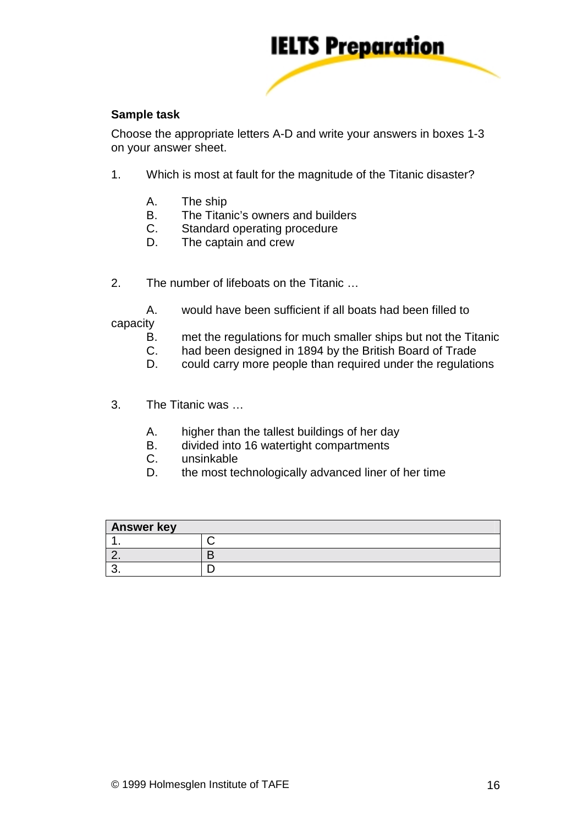

#### **Sample task**

Choose the appropriate letters A-D and write your answers in boxes 1-3 on your answer sheet.

- 1. Which is most at fault for the magnitude of the Titanic disaster?
	- A. The ship
	- B. The Titanic's owners and builders
	- C. Standard operating procedure
	- D. The captain and crew
- 2. The number of lifeboats on the Titanic …

 A. would have been sufficient if all boats had been filled to capacity

- B. met the regulations for much smaller ships but not the Titanic
- C. had been designed in 1894 by the British Board of Trade
- D. could carry more people than required under the regulations
- 3. The Titanic was …
	- A. higher than the tallest buildings of her day
	- B. divided into 16 watertight compartments<br>C. unsinkable
	- unsinkable
	- D. the most technologically advanced liner of her time

| <b>Answer key</b> |  |  |
|-------------------|--|--|
|                   |  |  |
| - -               |  |  |
|                   |  |  |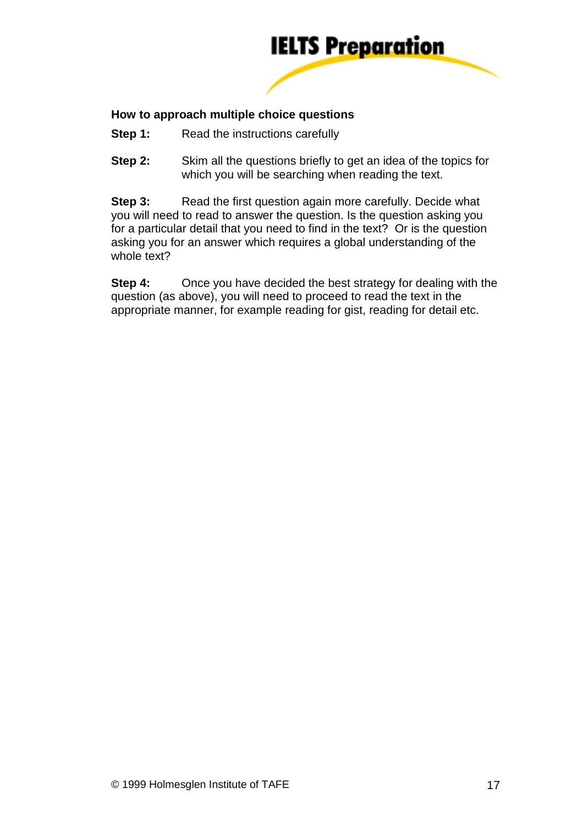

#### **How to approach multiple choice questions**

- **Step 1:** Read the instructions carefully
- **Step 2:** Skim all the questions briefly to get an idea of the topics for which you will be searching when reading the text.

**Step 3:** Read the first question again more carefully. Decide what you will need to read to answer the question. Is the question asking you for a particular detail that you need to find in the text? Or is the question asking you for an answer which requires a global understanding of the whole text?

**Step 4:** Once you have decided the best strategy for dealing with the question (as above), you will need to proceed to read the text in the appropriate manner, for example reading for gist, reading for detail etc.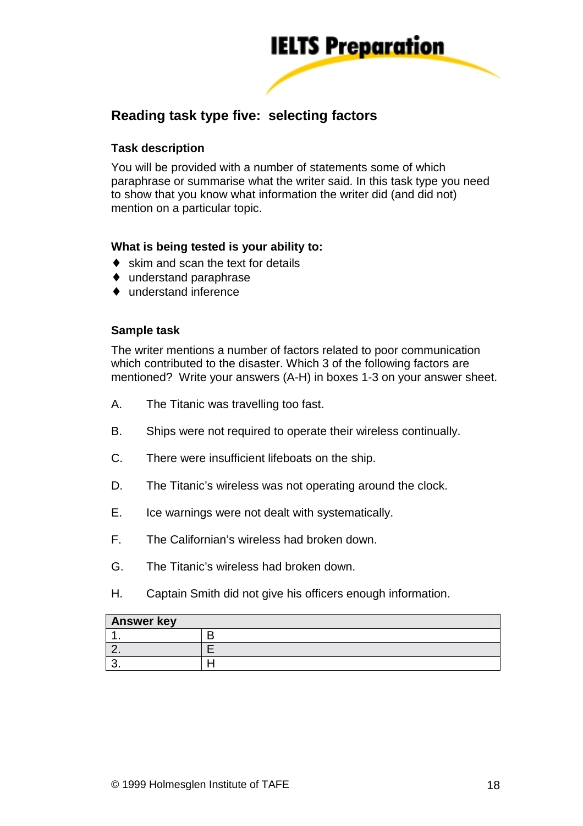

# **Reading task type five: selecting factors**

#### **Task description**

You will be provided with a number of statements some of which paraphrase or summarise what the writer said. In this task type you need to show that you know what information the writer did (and did not) mention on a particular topic.

#### **What is being tested is your ability to:**

- $\bullet$  skim and scan the text for details
- ♦ understand paraphrase
- ♦ understand inference

#### **Sample task**

The writer mentions a number of factors related to poor communication which contributed to the disaster. Which 3 of the following factors are mentioned? Write your answers (A-H) in boxes 1-3 on your answer sheet.

- A. The Titanic was travelling too fast.
- B. Ships were not required to operate their wireless continually.
- C. There were insufficient lifeboats on the ship.
- D. The Titanic's wireless was not operating around the clock.
- E. Ice warnings were not dealt with systematically.
- F. The Californian's wireless had broken down.
- G. The Titanic's wireless had broken down.
- H. Captain Smith did not give his officers enough information.

| <b>Answer key</b> |  |  |
|-------------------|--|--|
|                   |  |  |
| --                |  |  |
|                   |  |  |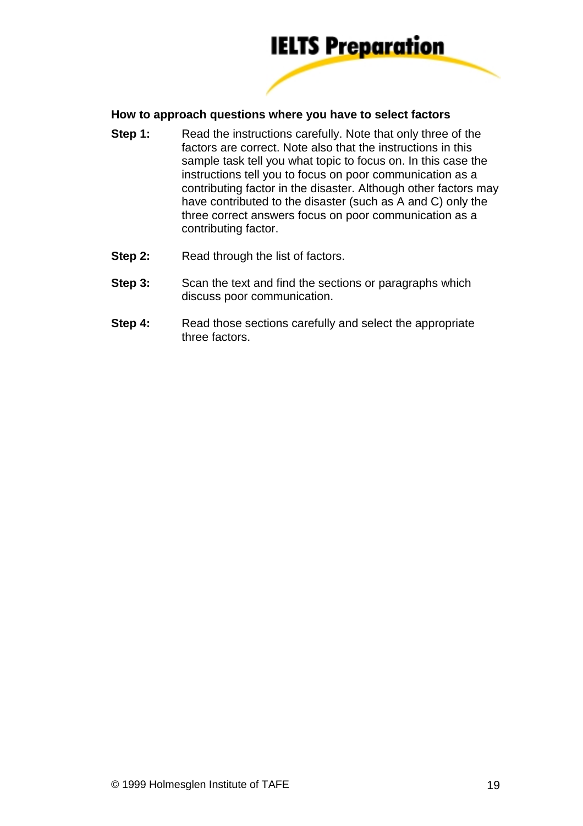

#### **How to approach questions where you have to select factors**

- **Step 1:** Read the instructions carefully. Note that only three of the factors are correct. Note also that the instructions in this sample task tell you what topic to focus on. In this case the instructions tell you to focus on poor communication as a contributing factor in the disaster. Although other factors may have contributed to the disaster (such as A and C) only the three correct answers focus on poor communication as a contributing factor.
- **Step 2:** Read through the list of factors.
- **Step 3:** Scan the text and find the sections or paragraphs which discuss poor communication.
- **Step 4:** Read those sections carefully and select the appropriate three factors.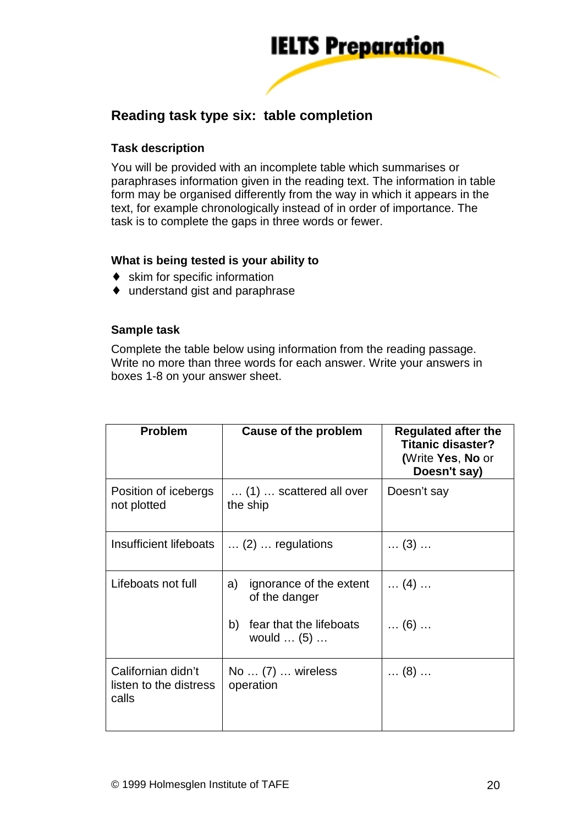

# **Reading task type six: table completion**

#### **Task description**

You will be provided with an incomplete table which summarises or paraphrases information given in the reading text. The information in table form may be organised differently from the way in which it appears in the text, for example chronologically instead of in order of importance. The task is to complete the gaps in three words or fewer.

#### **What is being tested is your ability to**

- ♦ skim for specific information
- ♦ understand gist and paraphrase

#### **Sample task**

Complete the table below using information from the reading passage. Write no more than three words for each answer. Write your answers in boxes 1-8 on your answer sheet.

| <b>Problem</b>                                        | <b>Cause of the problem</b>                                | <b>Regulated after the</b><br><b>Titanic disaster?</b><br>(Write Yes, No or<br>Doesn't say) |
|-------------------------------------------------------|------------------------------------------------------------|---------------------------------------------------------------------------------------------|
| Position of icebergs<br>not plotted                   | $\ldots$ (1) $\ldots$ scattered all over<br>the ship       | Doesn't say                                                                                 |
| Insufficient lifeboats                                | $\ldots$ (2) $\ldots$ regulations                          | $\dots$ (3) $\dots$                                                                         |
| Lifeboats not full                                    | ignorance of the extent<br>a)<br>of the danger             | $\dots$ (4) $\dots$                                                                         |
|                                                       | fear that the lifeboats<br>b)<br>would $\dots$ (5) $\dots$ | $\dots$ (6) $\dots$                                                                         |
| Californian didn't<br>listen to the distress<br>calls | No $\dots$ (7) $\dots$ wireless<br>operation               | $\dots$ (8) $\dots$                                                                         |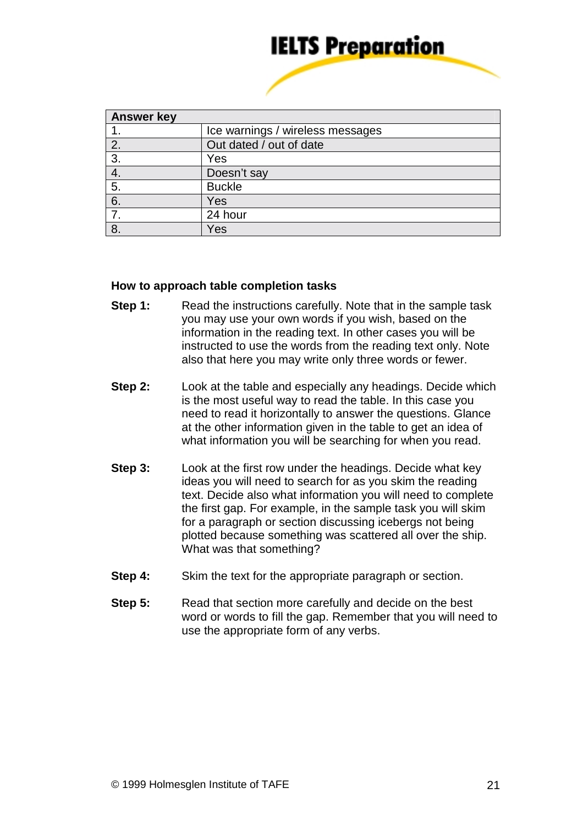

| <b>Answer key</b> |                                  |  |
|-------------------|----------------------------------|--|
|                   | Ice warnings / wireless messages |  |
| 2.                | Out dated / out of date          |  |
| 3.                | Yes                              |  |
| 4.                | Doesn't say                      |  |
| 5.                | <b>Buckle</b>                    |  |
| 6.                | Yes                              |  |
| 7.                | 24 hour                          |  |
| 8.                | Yes                              |  |

#### **How to approach table completion tasks**

- **Step 1:** Read the instructions carefully. Note that in the sample task you may use your own words if you wish, based on the information in the reading text. In other cases you will be instructed to use the words from the reading text only. Note also that here you may write only three words or fewer.
- **Step 2:** Look at the table and especially any headings. Decide which is the most useful way to read the table. In this case you need to read it horizontally to answer the questions. Glance at the other information given in the table to get an idea of what information you will be searching for when you read.
- **Step 3:** Look at the first row under the headings. Decide what key ideas you will need to search for as you skim the reading text. Decide also what information you will need to complete the first gap. For example, in the sample task you will skim for a paragraph or section discussing icebergs not being plotted because something was scattered all over the ship. What was that something?
- **Step 4:** Skim the text for the appropriate paragraph or section.
- **Step 5:** Read that section more carefully and decide on the best word or words to fill the gap. Remember that you will need to use the appropriate form of any verbs.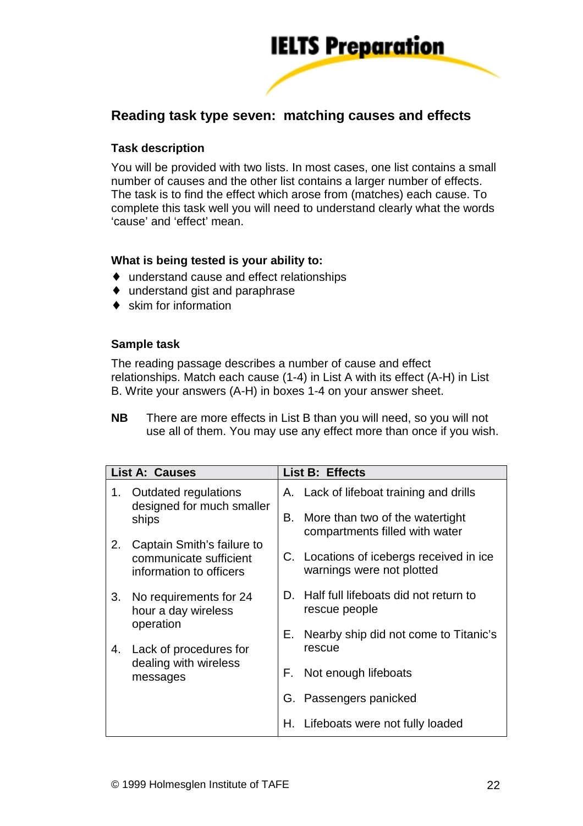

## **Reading task type seven: matching causes and effects**

#### **Task description**

You will be provided with two lists. In most cases, one list contains a small number of causes and the other list contains a larger number of effects. The task is to find the effect which arose from (matches) each cause. To complete this task well you will need to understand clearly what the words 'cause' and 'effect' mean.

#### **What is being tested is your ability to:**

- ♦ understand cause and effect relationships
- ♦ understand gist and paraphrase
- $\bullet$  skim for information

#### **Sample task**

The reading passage describes a number of cause and effect relationships. Match each cause (1-4) in List A with its effect (A-H) in List B. Write your answers (A-H) in boxes 1-4 on your answer sheet.

**NB** There are more effects in List B than you will need, so you will not use all of them. You may use any effect more than once if you wish.

| <b>List A: Causes</b> |                                                                                 |    | List B: Effects                                                       |
|-----------------------|---------------------------------------------------------------------------------|----|-----------------------------------------------------------------------|
| 1.                    | Outdated regulations<br>designed for much smaller                               |    | A. Lack of lifeboat training and drills                               |
|                       | ships                                                                           |    | More than two of the watertight<br>compartments filled with water     |
| 2.                    | Captain Smith's failure to<br>communicate sufficient<br>information to officers |    | C. Locations of icebergs received in ice<br>warnings were not plotted |
| 3.<br>operation<br>4. | No requirements for 24<br>hour a day wireless                                   |    | D. Half full lifeboats did not return to<br>rescue people             |
|                       |                                                                                 | Е. | Nearby ship did not come to Titanic's                                 |
|                       | Lack of procedures for                                                          |    | rescue                                                                |
|                       | dealing with wireless<br>messages                                               |    | F. Not enough lifeboats                                               |
|                       |                                                                                 |    | G. Passengers panicked                                                |
|                       |                                                                                 |    | H. Lifeboats were not fully loaded                                    |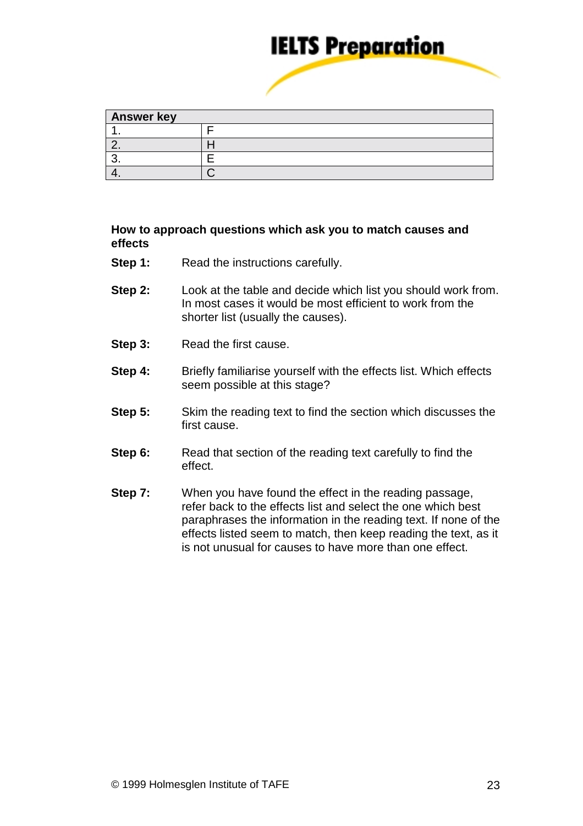

| <b>Answer key</b> |  |  |
|-------------------|--|--|
|                   |  |  |
|                   |  |  |
|                   |  |  |
|                   |  |  |

#### **How to approach questions which ask you to match causes and effects**

- **Step 1:** Read the instructions carefully.
- **Step 2:** Look at the table and decide which list you should work from. In most cases it would be most efficient to work from the shorter list (usually the causes).
- **Step 3:** Read the first cause.
- **Step 4:** Briefly familiarise yourself with the effects list. Which effects seem possible at this stage?
- **Step 5:** Skim the reading text to find the section which discusses the first cause.
- **Step 6:** Read that section of the reading text carefully to find the effect.
- **Step 7:** When you have found the effect in the reading passage, refer back to the effects list and select the one which best paraphrases the information in the reading text. If none of the effects listed seem to match, then keep reading the text, as it is not unusual for causes to have more than one effect.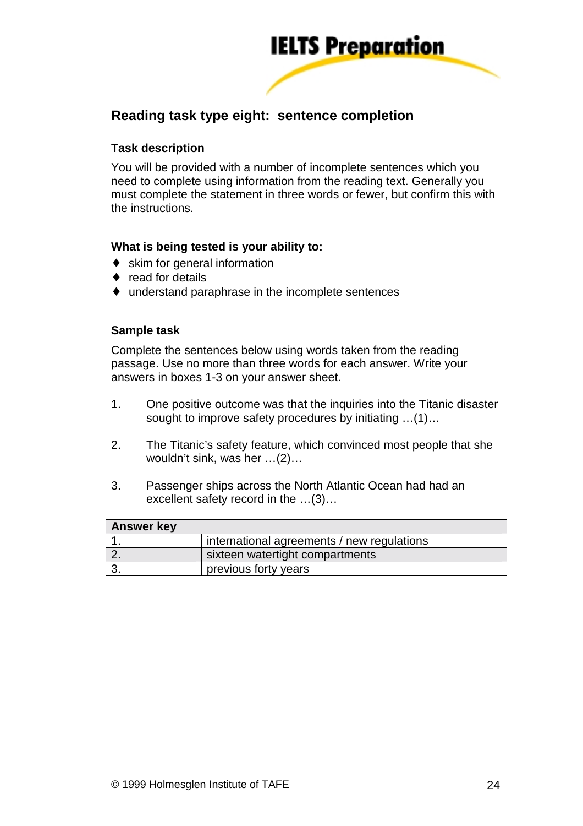

# **Reading task type eight: sentence completion**

#### **Task description**

You will be provided with a number of incomplete sentences which you need to complete using information from the reading text. Generally you must complete the statement in three words or fewer, but confirm this with the instructions.

#### **What is being tested is your ability to:**

- ♦ skim for general information
- ♦ read for details
- ♦ understand paraphrase in the incomplete sentences

#### **Sample task**

Complete the sentences below using words taken from the reading passage. Use no more than three words for each answer. Write your answers in boxes 1-3 on your answer sheet.

- 1. One positive outcome was that the inquiries into the Titanic disaster sought to improve safety procedures by initiating …(1)…
- 2. The Titanic's safety feature, which convinced most people that she wouldn't sink, was her …(2)…
- 3. Passenger ships across the North Atlantic Ocean had had an excellent safety record in the …(3)…

| <b>Answer key</b> |                                            |
|-------------------|--------------------------------------------|
|                   | international agreements / new regulations |
|                   | sixteen watertight compartments            |
|                   | previous forty years                       |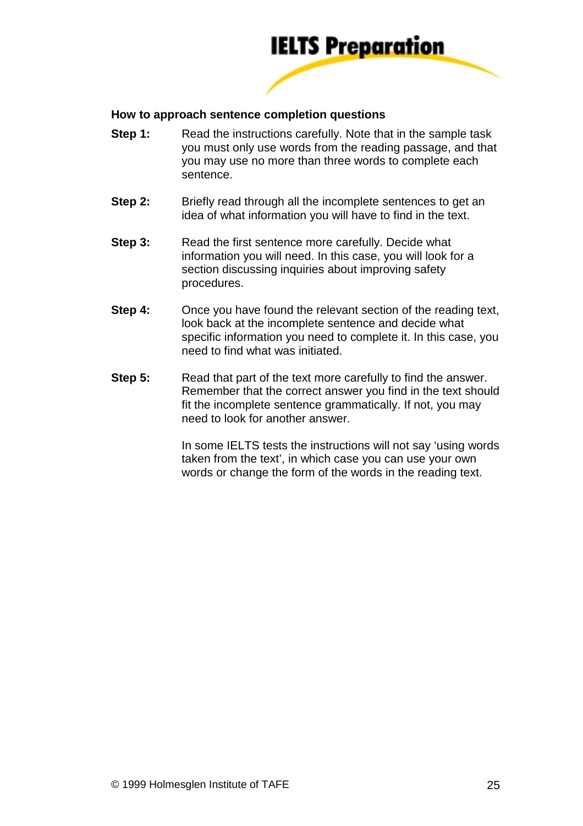

#### **How to approach sentence completion questions**

- **Step 1:** Read the instructions carefully. Note that in the sample task you must only use words from the reading passage, and that you may use no more than three words to complete each sentence.
- **Step 2:** Briefly read through all the incomplete sentences to get an idea of what information you will have to find in the text.
- **Step 3:** Read the first sentence more carefully. Decide what information you will need. In this case, you will look for a section discussing inquiries about improving safety procedures.
- **Step 4:** Once you have found the relevant section of the reading text, look back at the incomplete sentence and decide what specific information you need to complete it. In this case, you need to find what was initiated.
- **Step 5:** Read that part of the text more carefully to find the answer. Remember that the correct answer you find in the text should fit the incomplete sentence grammatically. If not, you may need to look for another answer.

 In some IELTS tests the instructions will not say 'using words taken from the text', in which case you can use your own words or change the form of the words in the reading text.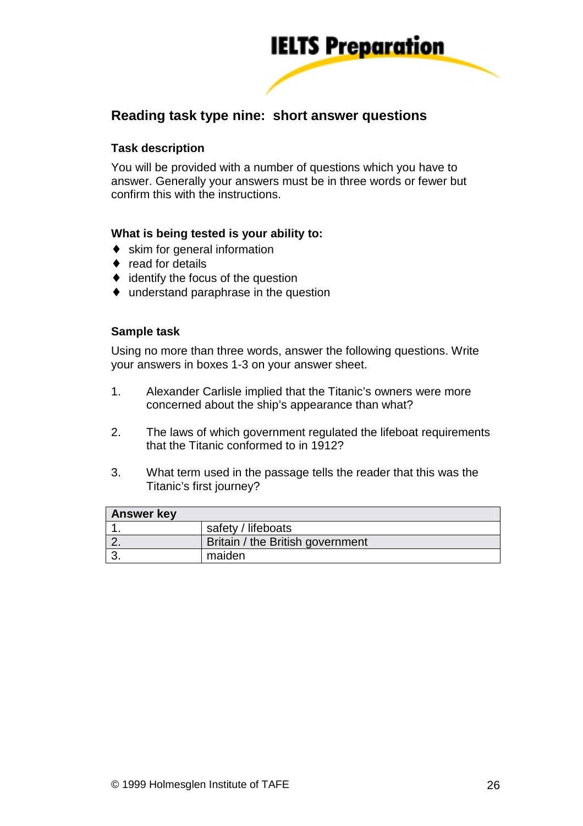

# **Reading task type nine: short answer questions**

#### **Task description**

You will be provided with a number of questions which you have to answer. Generally your answers must be in three words or fewer but confirm this with the instructions.

#### **What is being tested is your ability to:**

- ♦ skim for general information
- ♦ read for details
- $\bullet$  identify the focus of the question
- ♦ understand paraphrase in the question

#### **Sample task**

Using no more than three words, answer the following questions. Write your answers in boxes 1-3 on your answer sheet.

- 1. Alexander Carlisle implied that the Titanic's owners were more concerned about the ship's appearance than what?
- 2. The laws of which government regulated the lifeboat requirements that the Titanic conformed to in 1912?
- 3. What term used in the passage tells the reader that this was the Titanic's first journey?

| <b>Answer key</b> |                                  |
|-------------------|----------------------------------|
|                   | safety / lifeboats               |
|                   | Britain / the British government |
|                   | maiden                           |